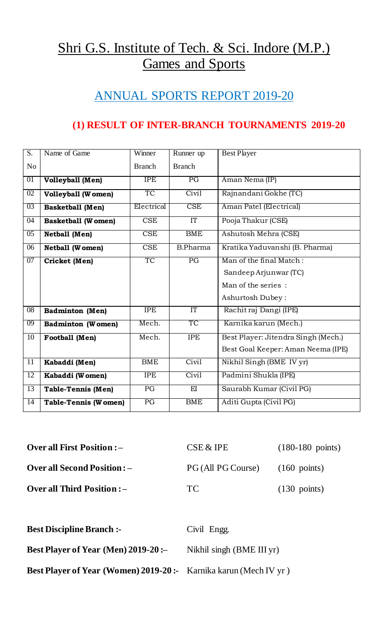# Shri G.S. Institute of Tech. & Sci. Indore (M.P.) Games and Sports

## ANNUAL SPORTS REPORT 2019-20

#### **(1) RESULT OF INTER-BRANCH TOURNAMENTS 2019-20**

| $\overline{S}$ . | Name of Game                | Winner        | Runner up       | <b>Best Player</b>                                                                         |
|------------------|-----------------------------|---------------|-----------------|--------------------------------------------------------------------------------------------|
| N <sub>o</sub>   |                             | <b>Branch</b> | <b>Branch</b>   |                                                                                            |
| 01               | <b>Volleyball</b> (Men)     | <b>IPE</b>    | $\overline{PG}$ | Aman Nema (IP)                                                                             |
| $\overline{02}$  | <b>Volleyball (Women)</b>   | <b>TC</b>     | Civil           | Rajnandani Gokhe (TC)                                                                      |
| 03               | <b>Basketball</b> (Men)     | Electrical    | <b>CSE</b>      | Aman Patel (Electrical)                                                                    |
| $\overline{04}$  | <b>Basketball (Women)</b>   | <b>CSE</b>    | IT              | Pooja Thakur (CSE)                                                                         |
| 05               | <b>Netball (Men)</b>        | <b>CSE</b>    | <b>BME</b>      | Ashutosh Mehra (CSE)                                                                       |
| 06               | <b>Netball (Women)</b>      | <b>CSE</b>    | <b>B.Pharma</b> | Kratika Yaduvanshi (B. Pharma)                                                             |
| 07               | Cricket (Men)               | TC            | $\overline{PG}$ | Man of the final Match:<br>Sandeep Arjunwar (TC)<br>Man of the series:<br>Ashurtosh Dubey: |
| 08               | <b>Badminton</b> (Men)      | <b>IPE</b>    | IT              | Rachit raj Dangi (IPE)                                                                     |
| 09               | <b>Badminton (Women)</b>    | Mech.         | <b>TC</b>       | Karnika karun (Mech.)                                                                      |
| $\overline{10}$  | Football (Men)              | Mech.         | <b>IPE</b>      | Best Player: Jitendra Singh (Mech.)<br>Best Goal Keeper: Aman Neema (IPE)                  |
| $\overline{11}$  | Kabaddi (Men)               | <b>BME</b>    | Civil           | Nikhil Singh (BME IV yr)                                                                   |
| 12               | Kabaddi (Women)             | <b>IPE</b>    | Civil           | Padmini Shukla (IPE)                                                                       |
| 13               | <b>Table-Tennis (Men)</b>   | PG            | $_{\rm EI}$     | Saurabh Kumar (Civil PG)                                                                   |
| 14               | <b>Table-Tennis (Women)</b> | PG            | <b>BME</b>      | Aditi Gupta (Civil PG)                                                                     |

| <b>Over all First Position : -</b>  | CSE & IPE          | $(180-180 \text{ points})$ |
|-------------------------------------|--------------------|----------------------------|
| <b>Over all Second Position : –</b> | PG (All PG Course) | $(160 \text{ points})$     |
| <b>Over all Third Position : -</b>  | TC.                | $(130 \text{ points})$     |

| <b>Best Discipline Branch:-</b>                                        | Civil Engg.               |
|------------------------------------------------------------------------|---------------------------|
| Best Player of Year (Men) $2019-20$ :                                  | Nikhil singh (BME III yr) |
| <b>Best Player of Year (Women) 2019-20:</b> Karnika karun (Mech IV yr) |                           |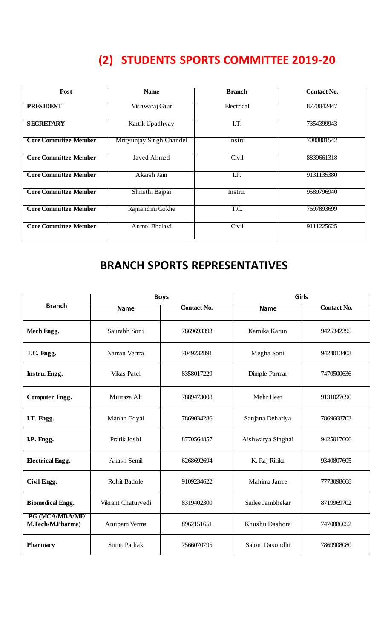## **(2) STUDENTS SPORTS COMMITTEE 2019-20**

| Post                         | <b>Name</b>              | <b>Branch</b> | <b>Contact No.</b> |
|------------------------------|--------------------------|---------------|--------------------|
| <b>PRESIDENT</b>             | Vishwaraj Gaur           | Electrical    | 8770042447         |
| <b>SECRETARY</b>             | Kartik Upadhyay          | I.T.          | 7354399943         |
| <b>Core Committee Member</b> | Mrityunjay Singh Chandel | Instru        | 7080801542         |
| <b>Core Committee Member</b> | Javed Ahmed              | Civil         | 8839661318         |
| <b>Core Committee Member</b> | Akarsh Jain              | I.P.          | 9131135380         |
| <b>Core Committee Member</b> | Shristhi Bajpai          | Instru.       | 9589796940         |
| <b>Core Committee Member</b> | Rajnandini Gokhe         | T.C.          | 7697893699         |
| <b>Core Committee Member</b> | Anmol Bhalavi            | Civil         | 9111225625         |

## **BRANCH SPORTS REPRESENTATIVES**

|                                            | <b>Boys</b>        |                    | Girls             |                    |
|--------------------------------------------|--------------------|--------------------|-------------------|--------------------|
| <b>Branch</b>                              | <b>Name</b>        | <b>Contact No.</b> | <b>Name</b>       | <b>Contact No.</b> |
| Mech Engg.                                 | Saurabh Soni       | 7869693393         | Karnika Karun     | 9425342395         |
| T.C. Engg.                                 | Naman Verma        | 7049232891         | Megha Soni        | 9424013403         |
| Instru. Engg.                              | <b>Vikas Patel</b> | 8358017229         | Dimple Parmar     | 7470500636         |
| <b>Computer Engg.</b>                      | Murtaza Ali        | 7889473008         | Mehr Heer         | 9131027690         |
| I.T. Engg.                                 | Manan Goyal        | 7869034286         | Sanjana Dehariya  | 7869668703         |
| I.P. Engg.                                 | Pratik Joshi       | 8770564857         | Aishwarya Singhai | 9425017606         |
| <b>Electrical Engg.</b>                    | Akash Semil        | 6268692694         | K. Raj Ritika     | 9340807605         |
| Civil Engg.                                | Rohit Badole       | 9109234622         | Mahima Jamre      | 7773098668         |
| <b>Biomedical Engg.</b>                    | Vikrant Chaturvedi | 8319402300         | Sailee Jambhekar  | 8719969702         |
| PG (MCA/MBA/ME/<br><b>M.Tech/M.Pharma)</b> | Anupam Verma       | 8962151651         | Khushu Dashore    | 7470886052         |
| <b>Pharmacy</b>                            | Sumit Pathak       | 7566070795         | Saloni Dasondhi   | 7869908080         |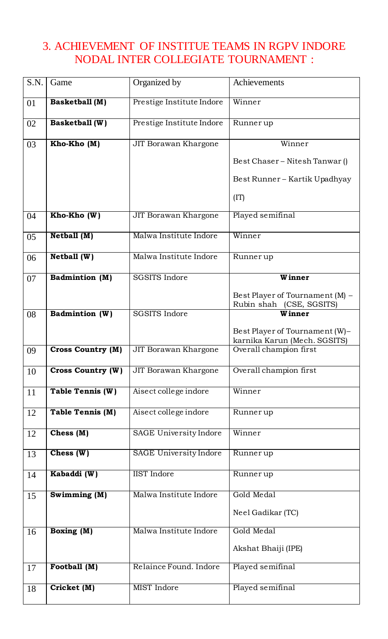#### 3. ACHIEVEMENT OF INSTITUE TEAMS IN RGPV INDORE NODAL INTER COLLEGIATE TOURNAMENT :

| S.N. | Game                     | Organized by                | Achievements                                                   |
|------|--------------------------|-----------------------------|----------------------------------------------------------------|
| 01   | <b>Basketball</b> (M)    | Prestige Institute Indore   | Winner                                                         |
| 02   | <b>Basketball</b> (W)    | Prestige Institute Indore   | Runner up                                                      |
| 03   | Kho-Kho (M)              | JIT Borawan Khargone        | Winner                                                         |
|      |                          |                             | Best Chaser - Nitesh Tanwar ()                                 |
|      |                          |                             | Best Runner – Kartik Upadhyay                                  |
|      |                          |                             | (TT)                                                           |
| 04   | Kho-Kho (W)              | <b>JIT Borawan Khargone</b> | Played semifinal                                               |
| 05   | Netball (M)              | Malwa Institute Indore      | Winner                                                         |
| 06   | Netball (W)              | Malwa Institute Indore      | Runner up                                                      |
| 07   | <b>Badmintion</b> (M)    | <b>SGSITS Indore</b>        | Winner                                                         |
|      |                          |                             | Best Player of Tournament (M) -<br>Rubin shah (CSE, SGSITS)    |
| 08   | Badmintion (W)           | <b>SGSITS Indore</b>        | Winner                                                         |
|      |                          |                             | Best Player of Tournament (W)-<br>karnika Karun (Mech. SGSITS) |
| 09   | <b>Cross Country (M)</b> | JIT Borawan Khargone        | Overall champion first                                         |
| 10   | <b>Cross Country (W)</b> | JIT Borawan Khargone        | Overall champion first                                         |
| 11   | Table Tennis (W)         | Aisect college indore       | Winner                                                         |
| 12   | <b>Table Tennis (M)</b>  | Aisect college indore       | Runner up                                                      |
| 12   | Chess $(M)$              | SAGE University Indore      | Winner                                                         |
| 13   | Chess $(W)$              | SAGE University Indore      | Runner up                                                      |
| 14   | Kabaddi (W)              | <b>IIST</b> Indore          | Runner up                                                      |
| 15   | Swimming (M)             | Malwa Institute Indore      | Gold Medal                                                     |
|      |                          |                             | Neel Gadikar (TC)                                              |
| 16   | <b>Boxing (M)</b>        | Malwa Institute Indore      | Gold Medal                                                     |
|      |                          |                             | Akshat Bhaiji (IPE)                                            |
| 17   | Football (M)             | Relaince Found. Indore      | Played semifinal                                               |
| 18   | Cricket (M)              | <b>MIST</b> Indore          | Played semifinal                                               |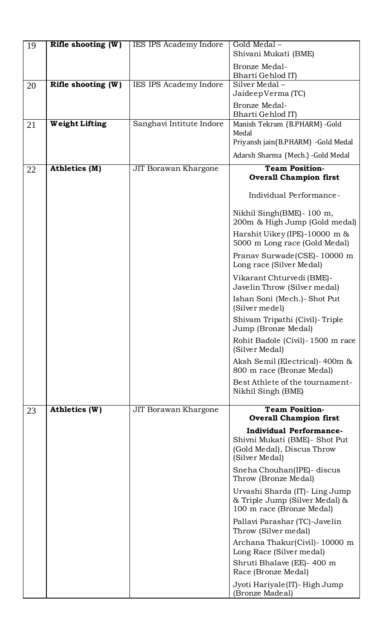| 19 | Rifle shooting $(W)$ | IES IPS Academy Indore   | Gold Medal-<br>Shivani Mukati (BME)                                                                              |
|----|----------------------|--------------------------|------------------------------------------------------------------------------------------------------------------|
|    |                      |                          | Bronze Medal-                                                                                                    |
|    |                      |                          | Bharti Gehlod IT)                                                                                                |
| 20 | Rifle shooting $(W)$ | IES IPS Academy Indore   | $\overline{\text{Silver}}$ Medal –<br>JaideepVerma (TC)                                                          |
|    |                      |                          | Bronze Medal-                                                                                                    |
| 21 | Weight Lifting       | Sanghavi Intitute Indore | Bharti Gehlod IT)<br>Manish Tekram (B.PHARM) -Gold                                                               |
|    |                      |                          | Medal<br>Priyansh jain(B.PHARM) - Gold Medal                                                                     |
|    |                      |                          | Adarsh Sharma (Mech.) - Gold Medal                                                                               |
| 22 | Athletics (M)        | JIT Borawan Khargone     | <b>Team Position-</b>                                                                                            |
|    |                      |                          | <b>Overall Champion first</b>                                                                                    |
|    |                      |                          | Individual Performance-                                                                                          |
|    |                      |                          | Nikhil Singh(BME) - 100 m,<br>200m & High Jump (Gold medal)                                                      |
|    |                      |                          | Harshit Uikey (IPE)-10000 m $\&$<br>5000 m Long race (Gold Medal)                                                |
|    |                      |                          | Pranav Surwade (CSE) - 10000 m<br>Long race (Silver Medal)                                                       |
|    |                      |                          | Vikarant Chturvedi (BME)-<br>Javelin Throw (Silver medal)                                                        |
|    |                      |                          | Ishan Soni (Mech.)- Shot Put<br>(Silver medel)                                                                   |
|    |                      |                          | Shivam Tripathi (Civil)-Triple<br>Jump (Bronze Medal)                                                            |
|    |                      |                          | Rohit Badole (Civil)-1500 m race<br>(Silver Medal)                                                               |
|    |                      |                          | Aksh Semil (Electrical)-400m &<br>800 m race (Bronze Medal)                                                      |
|    |                      |                          | Best Athlete of the tournament-<br>Nikhil Singh (BME)                                                            |
| 23 | Athletics (W)        | JIT Borawan Khargone     | <b>Team Position-</b>                                                                                            |
|    |                      |                          | <b>Overall Champion first</b>                                                                                    |
|    |                      |                          | <b>Individual Performance-</b><br>Shivni Mukati (BME) - Shot Put<br>(Gold Medal), Discus Throw<br>(Silver Medal) |
|    |                      |                          | Sneha Chouhan(IPE) - discus<br>Throw (Bronze Medal)                                                              |
|    |                      |                          | Urvashi Sharda (IT)- Ling Jump<br>& Triple Jump (Silver Medal) &<br>100 m race (Bronze Medal)                    |
|    |                      |                          | Pallavi Parashar (TC)-Javelin<br>Throw (Silver medal)                                                            |
|    |                      |                          | Archana Thakur(Civil)-10000 m<br>Long Race (Silver medal)                                                        |
|    |                      |                          | Shruti Bhalave (EE)- 400 m<br>Race (Bronze Medal)                                                                |
|    |                      |                          | Jyoti Hariyale (IT) - High Jump<br>(Bronze Madeal)                                                               |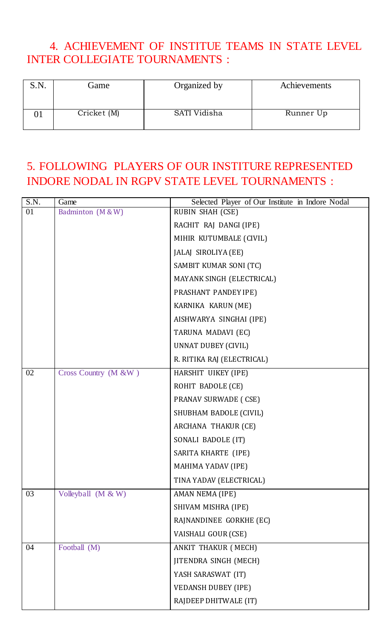#### 4. ACHIEVEMENT OF INSTITUE TEAMS IN STATE LEVEL INTER COLLEGIATE TOURNAMENTS :

| S.N. | Game        | Organized by | Achievements |
|------|-------------|--------------|--------------|
|      | Cricket (M) | SATI Vidisha | Runner Up    |

## 5. FOLLOWING PLAYERS OF OUR INSTITURE REPRESENTED INDORE NODAL IN RGPV STATE LEVEL TOURNAMENTS :

| S.N. | Game                 | Selected Player of Our Institute in Indore Nodal |
|------|----------------------|--------------------------------------------------|
| 01   | Badminton (M & W)    | RUBIN SHAH (CSE)                                 |
|      |                      | RACHIT RAJ DANGI (IPE)                           |
|      |                      | MIHIR KUTUMBALE (CIVIL)                          |
|      |                      | JALAJ SIROLIYA (EE)                              |
|      |                      | SAMBIT KUMAR SONI (TC)                           |
|      |                      | MAYANK SINGH (ELECTRICAL)                        |
|      |                      | PRASHANT PANDEY IPE)                             |
|      |                      | KARNIKA KARUN (ME)                               |
|      |                      | AISHWARYA SINGHAI (IPE)                          |
|      |                      | TARUNA MADAVI (EC)                               |
|      |                      | UNNAT DUBEY (CIVIL)                              |
|      |                      | R. RITIKA RAJ (ELECTRICAL)                       |
| 02   | Cross Country (M &W) | HARSHIT UIKEY (IPE)                              |
|      |                      | ROHIT BADOLE (CE)                                |
|      |                      | <b>PRANAV SURWADE (CSE)</b>                      |
|      |                      | SHUBHAM BADOLE (CIVIL)                           |
|      |                      | ARCHANA THAKUR (CE)                              |
|      |                      | SONALI BADOLE (IT)                               |
|      |                      | SARITA KHARTE (IPE)                              |
|      |                      | MAHIMA YADAV (IPE)                               |
|      |                      | TINA YADAV (ELECTRICAL)                          |
| 03   | Volleyball (M & W)   | AMAN NEMA (IPE)                                  |
|      |                      | SHIVAM MISHRA (IPE)                              |
|      |                      | RAJNANDINEE GORKHE (EC)                          |
|      |                      | VAISHALI GOUR (CSE)                              |
| 04   | Football (M)         | ANKIT THAKUR (MECH)                              |
|      |                      | <b>JITENDRA SINGH (MECH)</b>                     |
|      |                      | YASH SARASWAT (IT)                               |
|      |                      | <b>VEDANSH DUBEY (IPE)</b>                       |
|      |                      | RAJDEEP DHITWALE (IT)                            |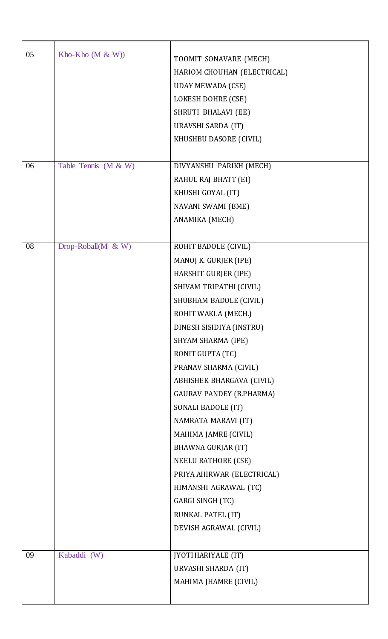| 05 | Kho-Kho $(M & W)$       | TOOMIT SONAVARE (MECH)<br>HARIOM CHOUHAN (ELECTRICAL)<br><b>UDAY MEWADA (CSE)</b><br>LOKESH DOHRE (CSE)<br>SHRUTI BHALAVI (EE)<br>URAVSHI SARDA (IT)<br>KHUSHBU DASORE (CIVIL)                                                                                                                                                                                                                                                                                                                                                                               |
|----|-------------------------|--------------------------------------------------------------------------------------------------------------------------------------------------------------------------------------------------------------------------------------------------------------------------------------------------------------------------------------------------------------------------------------------------------------------------------------------------------------------------------------------------------------------------------------------------------------|
| 06 | Table Tennis (M & W)    | DIVYANSHU PARIKH (MECH)<br>RAHUL RAJ BHATT (EI)<br>KHUSHI GOYAL (IT)<br>NAVANI SWAMI (BME)<br>ANAMIKA (MECH)                                                                                                                                                                                                                                                                                                                                                                                                                                                 |
| 08 | Drop-Roball( $M \& W$ ) | ROHIT BADOLE (CIVIL)<br>MANOJ K. GURJER (IPE)<br>HARSHIT GURJER (IPE)<br>SHIVAM TRIPATHI (CIVIL)<br>SHUBHAM BADOLE (CIVIL)<br>ROHIT WAKLA (MECH.)<br>DINESH SISIDIYA (INSTRU)<br>SHYAM SHARMA (IPE)<br>RONIT GUPTA (TC)<br>PRANAV SHARMA (CIVIL)<br>ABHISHEK BHARGAVA (CIVIL)<br><b>GAURAV PANDEY (B.PHARMA)</b><br>SONALI BADOLE (IT)<br>NAMRATA MARAVI (IT)<br>MAHIMA JAMRE (CIVIL)<br>BHAWNA GURJAR (IT)<br>NEELU RATHORE (CSE)<br>PRIYA AHIRWAR (ELECTRICAL)<br>HIMANSHI AGRAWAL (TC)<br>GARGI SINGH (TC)<br>RUNKAL PATEL (IT)<br>DEVISH AGRAWAL (CIVIL) |
| 09 | Kabaddi (W)             | <b>JYOTI HARIYALE (IT)</b><br>URVASHI SHARDA (IT)<br>MAHIMA JHAMRE (CIVIL)                                                                                                                                                                                                                                                                                                                                                                                                                                                                                   |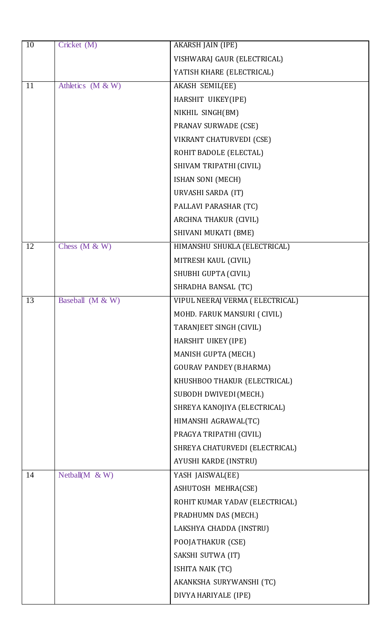| 10 | Cricket (M)         | <b>AKARSH JAIN (IPE)</b>        |
|----|---------------------|---------------------------------|
|    |                     | VISHWARAJ GAUR (ELECTRICAL)     |
|    |                     | YATISH KHARE (ELECTRICAL)       |
| 11 | Athletics (M & W)   | <b>AKASH SEMIL(EE)</b>          |
|    |                     | HARSHIT UIKEY(IPE)              |
|    |                     | NIKHIL SINGH(BM)                |
|    |                     | <b>PRANAV SURWADE (CSE)</b>     |
|    |                     | VIKRANT CHATURVEDI (CSE)        |
|    |                     | ROHIT BADOLE (ELECTAL)          |
|    |                     | SHIVAM TRIPATHI (CIVIL)         |
|    |                     | ISHAN SONI (MECH)               |
|    |                     | URVASHI SARDA (IT)              |
|    |                     | PALLAVI PARASHAR (TC)           |
|    |                     | ARCHNA THAKUR (CIVIL)           |
|    |                     | SHIVANI MUKATI (BME)            |
| 12 | Chess $(M & W)$     | HIMANSHU SHUKLA (ELECTRICAL)    |
|    |                     | MITRESH KAUL (CIVIL)            |
|    |                     | SHUBHI GUPTA (CIVIL)            |
|    |                     | SHRADHA BANSAL (TC)             |
| 13 | Baseball (M & W)    | VIPUL NEERAJ VERMA (ELECTRICAL) |
|    |                     | MOHD. FARUK MANSURI ( CIVIL)    |
|    |                     | TARANJEET SINGH (CIVIL)         |
|    |                     | HARSHIT UIKEY (IPE)             |
|    |                     | MANISH GUPTA (MECH.)            |
|    |                     | <b>GOURAV PANDEY (B.HARMA)</b>  |
|    |                     | KHUSHBOO THAKUR (ELECTRICAL)    |
|    |                     | SUBODH DWIVEDI (MECH.)          |
|    |                     | SHREYA KANOJIYA (ELECTRICAL)    |
|    |                     | HIMANSHI AGRAWAL(TC)            |
|    |                     | PRAGYA TRIPATHI (CIVIL)         |
|    |                     | SHREYA CHATURVEDI (ELECTRICAL)  |
|    |                     | AYUSHI KARDE (INSTRU)           |
| 14 | Netball( $M \& W$ ) | YASH JAISWAL(EE)                |
|    |                     | ASHUTOSH MEHRA(CSE)             |
|    |                     | ROHIT KUMAR YADAV (ELECTRICAL)  |
|    |                     | PRADHUMN DAS (MECH.)            |
|    |                     | LAKSHYA CHADDA (INSTRU)         |
|    |                     | POOJATHAKUR (CSE)               |
|    |                     | SAKSHI SUTWA (IT)               |
|    |                     | ISHITA NAIK (TC)                |
|    |                     | AKANKSHA SURYWANSHI (TC)        |
|    |                     | DIVYA HARIYALE (IPE)            |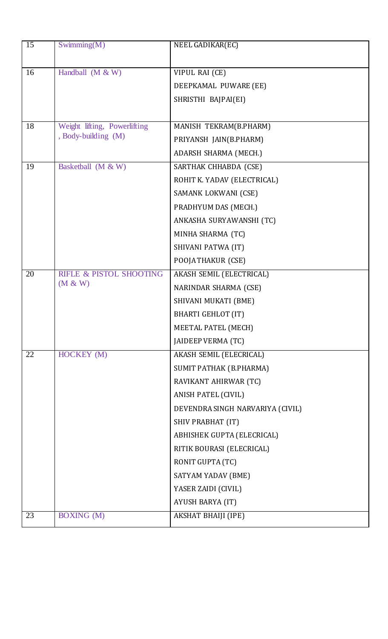| 15 | Swimming $(M)$                     | NEEL GADIKAR(EC)                 |
|----|------------------------------------|----------------------------------|
|    |                                    |                                  |
| 16 | Handball $(M & W)$                 | VIPUL RAI (CE)                   |
|    |                                    | DEEPKAMAL PUWARE (EE)            |
|    |                                    | SHRISTHI BAJPAI(EI)              |
| 18 | Weight lifting, Powerlifting       | MANISH TEKRAM(B.PHARM)           |
|    | , Body-building (M)                | PRIYANSH JAIN(B.PHARM)           |
|    |                                    | ADARSH SHARMA (MECH.)            |
|    |                                    |                                  |
| 19 | Basketball (M & W)                 | SARTHAK CHHABDA (CSE)            |
|    |                                    | ROHIT K. YADAV (ELECTRICAL)      |
|    |                                    | SAMANK LOKWANI (CSE)             |
|    |                                    | PRADHYUM DAS (MECH.)             |
|    |                                    | ANKASHA SURYAWANSHI (TC)         |
|    |                                    | MINHA SHARMA (TC)                |
|    |                                    | SHIVANI PATWA (IT)               |
|    |                                    | POOJATHAKUR (CSE)                |
| 20 | <b>RIFLE &amp; PISTOL SHOOTING</b> | AKASH SEMIL (ELECTRICAL)         |
|    | (M & W)                            | NARINDAR SHARMA (CSE)            |
|    |                                    | SHIVANI MUKATI (BME)             |
|    |                                    | <b>BHARTI GEHLOT (IT)</b>        |
|    |                                    | MEETAL PATEL (MECH)              |
|    |                                    | JAIDEEP VERMA (TC)               |
| 22 | HOCKEY (M)                         | <b>AKASH SEMIL (ELECRICAL)</b>   |
|    |                                    | SUMIT PATHAK (B.PHARMA)          |
|    |                                    | RAVIKANT AHIRWAR (TC)            |
|    |                                    | ANISH PATEL (CIVIL)              |
|    |                                    | DEVENDRA SINGH NARVARIYA (CIVIL) |
|    |                                    | SHIV PRABHAT (IT)                |
|    |                                    | ABHISHEK GUPTA (ELECRICAL)       |
|    |                                    | RITIK BOURASI (ELECRICAL)        |
|    |                                    | RONIT GUPTA (TC)                 |
|    |                                    | SATYAM YADAV (BME)               |
|    |                                    | YASER ZAIDI (CIVIL)              |
|    |                                    | AYUSH BARYA (IT)                 |
| 23 | <b>BOXING</b> (M)                  | AKSHAT BHAIJI (IPE)              |
|    |                                    |                                  |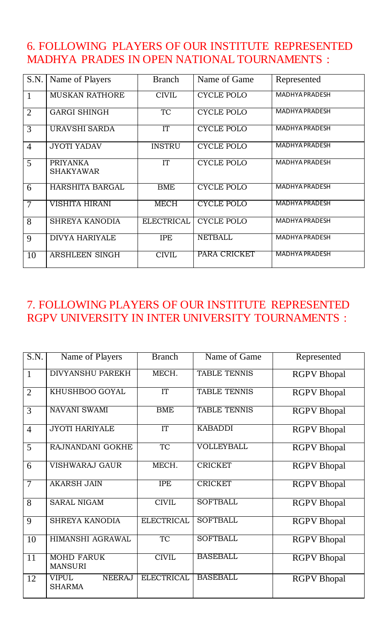#### 6. FOLLOWING PLAYERS OF OUR INSTITUTE REPRESENTED MADHYA PRADES IN OPEN NATIONAL TOURNAMENTS :

| S.N.           | Name of Players                     | <b>Branch</b>          | Name of Game      | Represented           |
|----------------|-------------------------------------|------------------------|-------------------|-----------------------|
|                | <b>MUSKAN RATHORE</b>               | <b>CIVIL</b>           | <b>CYCLE POLO</b> | <b>MADHYA PRADESH</b> |
| $\overline{2}$ | <b>GARGI SHINGH</b>                 | <b>TC</b>              | <b>CYCLE POLO</b> | <b>MADHYA PRADESH</b> |
| 3              | <b>URAVSHI SARDA</b>                | ÏΤ                     | <b>CYCLE POLO</b> | MADHYA PRADESH        |
| $\overline{4}$ | <b>JYOTI YADAV</b>                  | <b>INSTRU</b>          | <b>CYCLE POLO</b> | MADHYA PRADESH        |
| 5              | <b>PRIYANKA</b><br><b>SHAKYAWAR</b> | $\overline{\text{IT}}$ | <b>CYCLE POLO</b> | <b>MADHYA PRADESH</b> |
| 6              | <b>HARSHITA BARGAL</b>              | BME                    | <b>CYCLE POLO</b> | <b>MADHYA PRADESH</b> |
| $\overline{7}$ | VISHITA HIRANI                      | <b>MECH</b>            | <b>CYCLE POLO</b> | <b>MADHYA PRADESH</b> |
| 8              | <b>SHREYA KANODIA</b>               | <b>ELECTRICAL</b>      | <b>CYCLE POLO</b> | MADHYA PRADESH        |
| 9              | <b>DIVYA HARIYALE</b>               | <b>IPE</b>             | <b>NETBALL</b>    | <b>MADHYA PRADESH</b> |
| 10             | <b>ARSHLEEN SINGH</b>               | <b>CIVIL</b>           | PARA CRICKET      | <b>MADHYA PRADESH</b> |

#### 7. FOLLOWING PLAYERS OF OUR INSTITUTE REPRESENTED RGPV UNIVERSITY IN INTER UNIVERSITY TOURNAMENTS :

| S.N.            | Name of Players                                | <b>Branch</b>     | Name of Game        | Represented        |
|-----------------|------------------------------------------------|-------------------|---------------------|--------------------|
| $\mathbf{1}$    | <b>DIVYANSHU PAREKH</b>                        | MECH.             | <b>TABLE TENNIS</b> | <b>RGPV</b> Bhopal |
| $\overline{2}$  | KHUSHBOO GOYAL                                 | IT                | <b>TABLE TENNIS</b> | <b>RGPV</b> Bhopal |
| $\overline{3}$  | <b>NAVANI SWAMI</b>                            | <b>BME</b>        | <b>TABLE TENNIS</b> | <b>RGPV</b> Bhopal |
| $\overline{4}$  | <b>JYOTI HARIYALE</b>                          | IT                | <b>KABADDI</b>      | <b>RGPV</b> Bhopal |
| $\overline{5}$  | RAJNANDANI GOKHE                               | <b>TC</b>         | VOLLEYBALL          | <b>RGPV</b> Bhopal |
| 6               | <b>VISHWARAJ GAUR</b>                          | MECH.             | <b>CRICKET</b>      | <b>RGPV</b> Bhopal |
| $\overline{7}$  | <b>AKARSH JAIN</b>                             | <b>IPE</b>        | <b>CRICKET</b>      | <b>RGPV</b> Bhopal |
| 8               | <b>SARAL NIGAM</b>                             | <b>CIVIL</b>      | <b>SOFTBALL</b>     | <b>RGPV</b> Bhopal |
| 9               | <b>SHREYA KANODIA</b>                          | <b>ELECTRICAL</b> | <b>SOFTBALL</b>     | <b>RGPV</b> Bhopal |
| 10              | <b>HIMANSHI AGRAWAL</b>                        | <b>TC</b>         | <b>SOFTBALL</b>     | <b>RGPV</b> Bhopal |
| $\overline{11}$ | <b>MOHD FARUK</b><br><b>MANSURI</b>            | <b>CIVIL</b>      | <b>BASEBALL</b>     | <b>RGPV</b> Bhopal |
| 12              | <b>VIPUL</b><br><b>NEERAJ</b><br><b>SHARMA</b> | <b>ELECTRICAL</b> | <b>BASEBALL</b>     | <b>RGPV</b> Bhopal |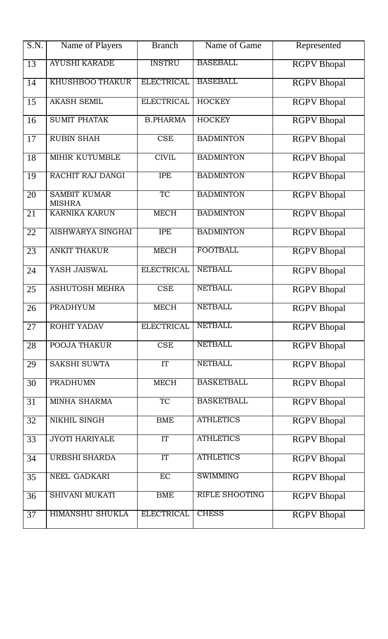| S.N.            | Name of Players                      | <b>Branch</b>     | Name of Game          | Represented        |
|-----------------|--------------------------------------|-------------------|-----------------------|--------------------|
| 13              | <b>AYUSHI KARADE</b>                 | <b>INSTRU</b>     | <b>BASEBALL</b>       | <b>RGPV</b> Bhopal |
| 14              | <b>KHUSHBOO THAKUR</b>               | <b>ELECTRICAL</b> | <b>BASEBALL</b>       | <b>RGPV</b> Bhopal |
| 15              | <b>AKASH SEMIL</b>                   | <b>ELECTRICAL</b> | <b>HOCKEY</b>         | <b>RGPV</b> Bhopal |
| 16              | <b>SUMIT PHATAK</b>                  | <b>B.PHARMA</b>   | <b>HOCKEY</b>         | <b>RGPV</b> Bhopal |
| 17              | <b>RUBIN SHAH</b>                    | <b>CSE</b>        | <b>BADMINTON</b>      | <b>RGPV</b> Bhopal |
| 18              | MIHIR KUTUMBLE                       | <b>CIVIL</b>      | <b>BADMINTON</b>      | <b>RGPV</b> Bhopal |
| $\overline{19}$ | RACHIT RAJ DANGI                     | <b>IPE</b>        | <b>BADMINTON</b>      | <b>RGPV</b> Bhopal |
| $\overline{20}$ | <b>SAMBIT KUMAR</b><br><b>MISHRA</b> | TC                | <b>BADMINTON</b>      | <b>RGPV</b> Bhopal |
| $\overline{21}$ | <b>KARNIKA KARUN</b>                 | <b>MECH</b>       | <b>BADMINTON</b>      | <b>RGPV</b> Bhopal |
| $\overline{22}$ | <b>AISHWARYA SINGHAI</b>             | <b>IPE</b>        | <b>BADMINTON</b>      | <b>RGPV</b> Bhopal |
| $\overline{23}$ | <b>ANKIT THAKUR</b>                  | <b>MECH</b>       | <b>FOOTBALL</b>       | <b>RGPV</b> Bhopal |
| 24              | YASH JAISWAL                         | <b>ELECTRICAL</b> | <b>NETBALL</b>        | <b>RGPV</b> Bhopal |
| 25              | <b>ASHUTOSH MEHRA</b>                | CSE               | <b>NETBALL</b>        | <b>RGPV</b> Bhopal |
| 26              | <b>PRADHYUM</b>                      | <b>MECH</b>       | <b>NETBALL</b>        | <b>RGPV</b> Bhopal |
| 27              | ROHIT YADAV                          | <b>ELECTRICAL</b> | <b>NETBALL</b>        | <b>RGPV</b> Bhopal |
| 28              | POOJA THAKUR                         | CSE               | <b>NETBALL</b>        | <b>RGPV</b> Bhopal |
| 29              | <b>SAKSHI SUWTA</b>                  | <b>IT</b>         | <b>NETBALL</b>        | <b>RGPV</b> Bhopal |
| 30              | <b>PRADHUMN</b>                      | <b>MECH</b>       | <b>BASKETBALL</b>     | <b>RGPV</b> Bhopal |
| 31              | <b>MINHA SHARMA</b>                  | <b>TC</b>         | <b>BASKETBALL</b>     | <b>RGPV</b> Bhopal |
| 32              | <b>NIKHIL SINGH</b>                  | <b>BME</b>        | <b>ATHLETICS</b>      | <b>RGPV</b> Bhopal |
| 33              | <b>JYOTI HARIYALE</b>                | IT                | <b>ATHLETICS</b>      | <b>RGPV</b> Bhopal |
| 34              | <b>URBSHI SHARDA</b>                 | IT                | <b>ATHLETICS</b>      | <b>RGPV</b> Bhopal |
| $\overline{35}$ | <b>NEEL GADKARI</b>                  | EC                | <b>SWIMMING</b>       | <b>RGPV</b> Bhopal |
| 36              | <b>SHIVANI MUKATI</b>                | <b>BME</b>        | <b>RIFLE SHOOTING</b> | <b>RGPV</b> Bhopal |
| $\overline{37}$ | <b>HIMANSHU SHUKLA</b>               | <b>ELECTRICAL</b> | <b>CHESS</b>          | <b>RGPV</b> Bhopal |